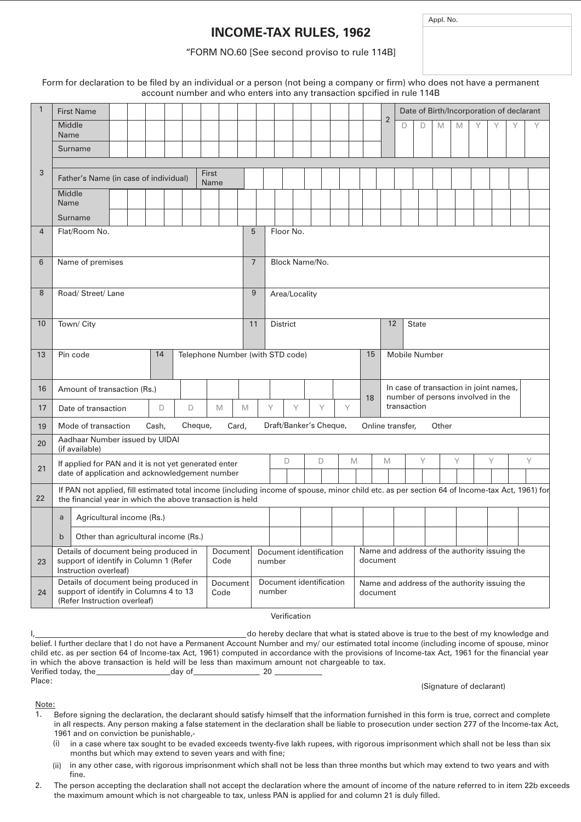## **INCOME-TAX RULES, 1962**

Appl. No.

## "FORM NO.60 [See second proviso to rule 114B]

Form for declaration to be filed by an individual or a person (not being a company or firm) who does not have a permanent account number and who enters into any transaction spcified in rule 114B

| $\mathbf{1}$ | <b>First Name</b>                                                                                                                                                                                                                     |                                                                                                |                                       |   |   |                                                                                   |                | Date of Birth/Incorporation of declarant |   |   |   |   |   |  |   |
|--------------|---------------------------------------------------------------------------------------------------------------------------------------------------------------------------------------------------------------------------------------|------------------------------------------------------------------------------------------------|---------------------------------------|---|---|-----------------------------------------------------------------------------------|----------------|------------------------------------------|---|---|---|---|---|--|---|
|              | Middle<br>Name                                                                                                                                                                                                                        |                                                                                                |                                       |   |   |                                                                                   | $\overline{2}$ | D                                        | D | M | M | Υ |   |  | Υ |
|              | Surname                                                                                                                                                                                                                               |                                                                                                |                                       |   |   |                                                                                   |                |                                          |   |   |   |   |   |  |   |
| 3            | First                                                                                                                                                                                                                                 |                                                                                                |                                       |   |   |                                                                                   |                |                                          |   |   |   |   |   |  |   |
|              | Father's Name (in case of individual)<br>Name                                                                                                                                                                                         |                                                                                                |                                       |   |   |                                                                                   |                |                                          |   |   |   |   |   |  |   |
|              | Middle<br>Name                                                                                                                                                                                                                        |                                                                                                |                                       |   |   |                                                                                   |                |                                          |   |   |   |   |   |  |   |
|              | Surname                                                                                                                                                                                                                               |                                                                                                |                                       |   |   |                                                                                   |                |                                          |   |   |   |   |   |  |   |
| 4            | Flat/Room No.                                                                                                                                                                                                                         | 5<br>Floor No.                                                                                 |                                       |   |   |                                                                                   |                |                                          |   |   |   |   |   |  |   |
| 6            | Name of premises                                                                                                                                                                                                                      | $\overline{7}$                                                                                 | Block Name/No.                        |   |   |                                                                                   |                |                                          |   |   |   |   |   |  |   |
| 8            | Road/ Street/ Lane                                                                                                                                                                                                                    | 9                                                                                              | Area/Locality                         |   |   |                                                                                   |                |                                          |   |   |   |   |   |  |   |
| 10           | Town/ City                                                                                                                                                                                                                            | 11                                                                                             | 12<br><b>District</b><br><b>State</b> |   |   |                                                                                   |                |                                          |   |   |   |   |   |  |   |
| 13           | Pin code<br>14<br>Telephone Number (with STD code)                                                                                                                                                                                    |                                                                                                | <b>Mobile Number</b><br>15            |   |   |                                                                                   |                |                                          |   |   |   |   |   |  |   |
| 16           | Amount of transaction (Rs.)                                                                                                                                                                                                           |                                                                                                |                                       |   |   | In case of transaction in joint names,<br>number of persons involved in the<br>18 |                |                                          |   |   |   |   |   |  |   |
| 17           | D<br>D<br>M<br>Date of transaction                                                                                                                                                                                                    | M                                                                                              | Υ<br>Υ                                | Υ | Υ | transaction                                                                       |                |                                          |   |   |   |   |   |  |   |
| 19           | Draft/Banker's Cheque,<br>Cash,<br>Cheque,<br>Card,<br>Online transfer,<br>Other<br>Mode of transaction                                                                                                                               |                                                                                                |                                       |   |   |                                                                                   |                |                                          |   |   |   |   |   |  |   |
| 20           | Aadhaar Number issued by UIDAI<br>(if available)                                                                                                                                                                                      |                                                                                                |                                       |   |   |                                                                                   |                |                                          |   |   |   |   |   |  |   |
| 21           | If applied for PAN and it is not yet generated enter<br>date of application and acknowledgement number                                                                                                                                |                                                                                                | D                                     | D | M |                                                                                   | M              |                                          | Y |   | Υ |   | Υ |  | Y |
| 22           | If PAN not applied, fill estimated total income (including income of spouse, minor child etc. as per section 64 of Income-tax Act, 1961) for<br>the financial year in which the above transaction is held                             |                                                                                                |                                       |   |   |                                                                                   |                |                                          |   |   |   |   |   |  |   |
|              | Agricultural income (Rs.)<br>a                                                                                                                                                                                                        |                                                                                                |                                       |   |   |                                                                                   |                |                                          |   |   |   |   |   |  |   |
|              | Other than agricultural income (Rs.)<br>$\mathsf{b}$                                                                                                                                                                                  |                                                                                                |                                       |   |   |                                                                                   |                |                                          |   |   |   |   |   |  |   |
| 23           | Document<br>Details of document being produced in<br>support of identify in Column 1 (Refer<br>Code<br>Instruction overleaf)                                                                                                          | Name and address of the authority issuing the<br>Document identification<br>document<br>number |                                       |   |   |                                                                                   |                |                                          |   |   |   |   |   |  |   |
| 24           | Details of document being produced in<br>Document identification<br>Document<br>Name and address of the authority issuing the<br>support of identify in Columns 4 to 13<br>number<br>Code<br>document<br>(Refer Instruction overleaf) |                                                                                                |                                       |   |   |                                                                                   |                |                                          |   |   |   |   |   |  |   |
| Verification |                                                                                                                                                                                                                                       |                                                                                                |                                       |   |   |                                                                                   |                |                                          |   |   |   |   |   |  |   |

Verification

<sub>-</sub>do hereby declare that what is stated above is true to the best of my knowledge and belief. I further declare that I do not have a Permanent Account Number and my/ our estimated total income (including income of spouse, minor child etc. as per section 64 of Income-tax Act, 1961) computed in accordance with the provisions of Income-tax Act, 1961 for the financial year in which the above transaction is held will be less than maximum amount not chargeable to tax. Verified today, the day of day of 20 Place:

(Signature of declarant)

## Note:

- Before signing the declaration, the declarant should satisfy himself that the information furnished in this form is true, correct and complete in all respects. Any person making a false statement in the declaration shall be liable to prosecution under section 277 of the Income-tax Act, 1961 and on conviction be punishable,- 1.
	- (i) in a case where tax sought to be evaded exceeds twenty-five lakh rupees, with rigorous imprisonment which shall not be less than six months but which may extend to seven years and with fine;
	- (ii) in any other case, with rigorous imprisonment which shall not be less than three months but which may extend to two years and with fine.
- The person accepting the declaration shall not accept the declaration where the amount of income of the nature referred to in item 22b exceeds the maximum amount which is not chargeable to tax, unless PAN is applied for and column 21 is duly filled. 2.